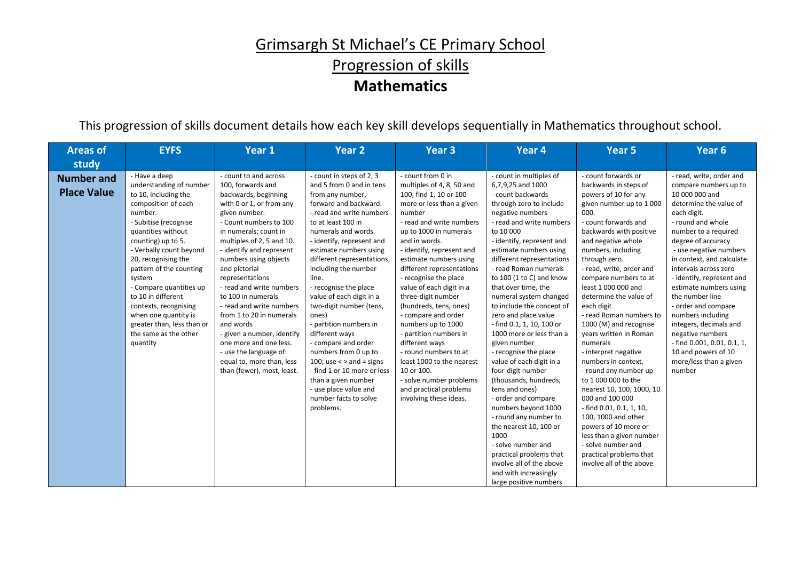# Grimsargh St Michael's CE Primary School Progression of skills **Mathematics**

This progression of skills document details how each key skill develops sequentially in Mathematics throughout school.

| <b>Areas of</b>                         | <b>EYFS</b>                                                                                                                                                                                                                                                                                                                                                                                                                         | Year 1                                                                                                                                                                                                                                                                                                                                                                                                                                                                                                                                                       | Year <sub>2</sub>                                                                                                                                                                                                                                                                                                                                                                                                                                                                                                                                                                                                                         | <b>Year 3</b>                                                                                                                                                                                                                                                                                                                                                                                                                                                                                                                                                                                                               | Year 4                                                                                                                                                                                                                                                                                                                                                                                                                                                                                                                                                                                                                                                                                                                                                                                                                                          | Year 5                                                                                                                                                                                                                                                                                                                                                                                                                                                                                                                                                                                                                                                                                                                                                                    | Year <sub>6</sub>                                                                                                                                                                                                                                                                                                                                                                                                                                                                                                             |
|-----------------------------------------|-------------------------------------------------------------------------------------------------------------------------------------------------------------------------------------------------------------------------------------------------------------------------------------------------------------------------------------------------------------------------------------------------------------------------------------|--------------------------------------------------------------------------------------------------------------------------------------------------------------------------------------------------------------------------------------------------------------------------------------------------------------------------------------------------------------------------------------------------------------------------------------------------------------------------------------------------------------------------------------------------------------|-------------------------------------------------------------------------------------------------------------------------------------------------------------------------------------------------------------------------------------------------------------------------------------------------------------------------------------------------------------------------------------------------------------------------------------------------------------------------------------------------------------------------------------------------------------------------------------------------------------------------------------------|-----------------------------------------------------------------------------------------------------------------------------------------------------------------------------------------------------------------------------------------------------------------------------------------------------------------------------------------------------------------------------------------------------------------------------------------------------------------------------------------------------------------------------------------------------------------------------------------------------------------------------|-------------------------------------------------------------------------------------------------------------------------------------------------------------------------------------------------------------------------------------------------------------------------------------------------------------------------------------------------------------------------------------------------------------------------------------------------------------------------------------------------------------------------------------------------------------------------------------------------------------------------------------------------------------------------------------------------------------------------------------------------------------------------------------------------------------------------------------------------|---------------------------------------------------------------------------------------------------------------------------------------------------------------------------------------------------------------------------------------------------------------------------------------------------------------------------------------------------------------------------------------------------------------------------------------------------------------------------------------------------------------------------------------------------------------------------------------------------------------------------------------------------------------------------------------------------------------------------------------------------------------------------|-------------------------------------------------------------------------------------------------------------------------------------------------------------------------------------------------------------------------------------------------------------------------------------------------------------------------------------------------------------------------------------------------------------------------------------------------------------------------------------------------------------------------------|
| study                                   |                                                                                                                                                                                                                                                                                                                                                                                                                                     |                                                                                                                                                                                                                                                                                                                                                                                                                                                                                                                                                              |                                                                                                                                                                                                                                                                                                                                                                                                                                                                                                                                                                                                                                           |                                                                                                                                                                                                                                                                                                                                                                                                                                                                                                                                                                                                                             |                                                                                                                                                                                                                                                                                                                                                                                                                                                                                                                                                                                                                                                                                                                                                                                                                                                 |                                                                                                                                                                                                                                                                                                                                                                                                                                                                                                                                                                                                                                                                                                                                                                           |                                                                                                                                                                                                                                                                                                                                                                                                                                                                                                                               |
| <b>Number and</b><br><b>Place Value</b> | - Have a deep<br>understanding of number<br>to 10, including the<br>composition of each<br>number.<br>- Subitise (recognise<br>quantities without<br>counting) up to 5.<br>- Verbally count beyond<br>20, recognising the<br>pattern of the counting<br>system<br>- Compare quantities up<br>to 10 in different<br>contexts, recognising<br>when one quantity is<br>greater than, less than or<br>the same as the other<br>quantity | - count to and across<br>100, forwards and<br>backwards, beginning<br>with 0 or 1, or from any<br>given number.<br>- Count numbers to 100<br>in numerals; count in<br>multiples of 2, 5 and 10.<br>- identify and represent<br>numbers using objects<br>and pictorial<br>representations<br>- read and write numbers<br>to 100 in numerals<br>- read and write numbers<br>from 1 to 20 in numerals<br>and words<br>- given a number, identify<br>one more and one less.<br>- use the language of:<br>equal to, more than, less<br>than (fewer), most, least. | - count in steps of 2, 3<br>and 5 from 0 and in tens<br>from any number,<br>forward and backward.<br>- read and write numbers<br>to at least 100 in<br>numerals and words.<br>- identify, represent and<br>estimate numbers using<br>different representations,<br>including the number<br>line.<br>- recognise the place<br>value of each digit in a<br>two-digit number (tens,<br>ones)<br>- partition numbers in<br>different ways<br>- compare and order<br>numbers from 0 up to<br>100; use $\lt$ > and = signs<br>- find 1 or 10 more or less<br>than a given number<br>- use place value and<br>number facts to solve<br>problems. | - count from 0 in<br>multiples of 4, 8, 50 and<br>100; find 1, 10 or 100<br>more or less than a given<br>number<br>- read and write numbers<br>up to 1000 in numerals<br>and in words.<br>- identify, represent and<br>estimate numbers using<br>different representations<br>- recognise the place<br>value of each digit in a<br>three-digit number<br>(hundreds, tens, ones)<br>- compare and order<br>numbers up to 1000<br>- partition numbers in<br>different ways<br>- round numbers to at<br>least 1000 to the nearest<br>10 or 100.<br>- solve number problems<br>and practical problems<br>involving these ideas. | - count in multiples of<br>6,7,9,25 and 1000<br>- count backwards<br>through zero to include<br>negative numbers<br>- read and write numbers<br>to 10 000<br>- identify, represent and<br>estimate numbers using<br>different representations<br>- read Roman numerals<br>to 100 (1 to C) and know<br>that over time, the<br>numeral system changed<br>to include the concept of<br>zero and place value<br>- find 0.1, 1, 10, 100 or<br>1000 more or less than a<br>given number<br>- recognise the place<br>value of each digit in a<br>four-digit number<br>(thousands, hundreds,<br>tens and ones)<br>- order and compare<br>numbers beyond 1000<br>- round any number to<br>the nearest 10, 100 or<br>1000<br>- solve number and<br>practical problems that<br>involve all of the above<br>and with increasingly<br>large positive numbers | - count forwards or<br>backwards in steps of<br>powers of 10 for any<br>given number up to 1000<br>000.<br>- count forwards and<br>backwards with positive<br>and negative whole<br>numbers, including<br>through zero.<br>- read, write, order and<br>compare numbers to at<br>least 1 000 000 and<br>determine the value of<br>each digit<br>- read Roman numbers to<br>1000 (M) and recognise<br>years written in Roman<br>numerals<br>- interpret negative<br>numbers in context.<br>- round any number up<br>to 1 000 000 to the<br>nearest 10, 100, 1000, 10<br>000 and 100 000<br>- find 0.01, 0.1, 1, 10,<br>100, 1000 and other<br>powers of 10 more or<br>less than a given number<br>- solve number and<br>practical problems that<br>involve all of the above | - read, write, order and<br>compare numbers up to<br>10 000 000 and<br>determine the value of<br>each digit.<br>- round and whole<br>number to a required<br>degree of accuracy<br>- use negative numbers<br>in context, and calculate<br>intervals across zero<br>- identify, represent and<br>estimate numbers using<br>the number line<br>- order and compare<br>numbers including<br>integers, decimals and<br>negative numbers<br>- find 0.001, 0.01, 0.1, 1,<br>10 and powers of 10<br>more/less than a given<br>number |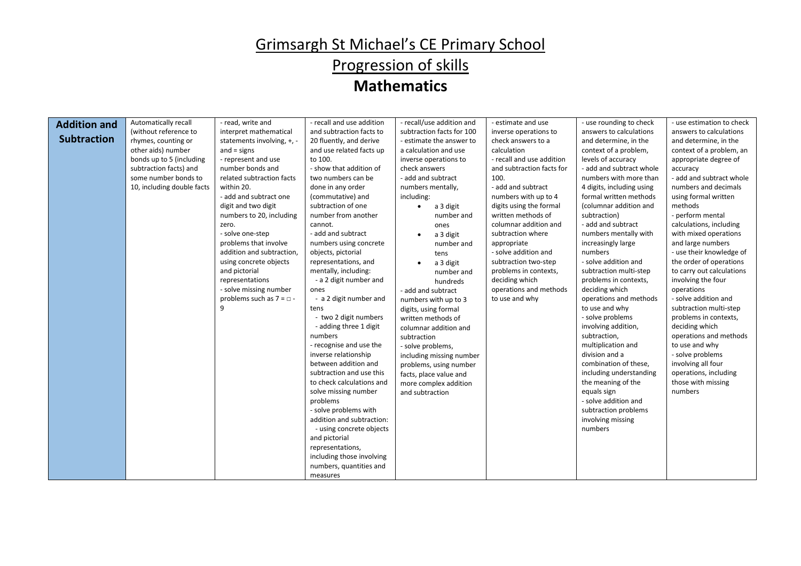# Grimsargh St Michael's CE Primary School Progression of skills

| <b>Addition and</b> | Automatically recall       | - read, write and                | - recall and use addition | - recall/use addition and | - estimate and use        | - use rounding to check   | - use estimation to check |
|---------------------|----------------------------|----------------------------------|---------------------------|---------------------------|---------------------------|---------------------------|---------------------------|
|                     | (without reference to      | interpret mathematical           | and subtraction facts to  | subtraction facts for 100 | inverse operations to     | answers to calculations   | answers to calculations   |
| <b>Subtraction</b>  | rhymes, counting or        | statements involving, +, -       | 20 fluently, and derive   | - estimate the answer to  | check answers to a        | and determine, in the     | and determine, in the     |
|                     | other aids) number         | $and = signs$                    | and use related facts up  | a calculation and use     | calculation               | context of a problem,     | context of a problem, an  |
|                     | bonds up to 5 (including   | - represent and use              | to 100.                   | inverse operations to     | - recall and use addition | levels of accuracy        | appropriate degree of     |
|                     | subtraction facts) and     | number bonds and                 | - show that addition of   | check answers             | and subtraction facts for | - add and subtract whole  | accuracy                  |
|                     | some number bonds to       | related subtraction facts        | two numbers can be        | - add and subtract        | 100.                      | numbers with more than    | - add and subtract whole  |
|                     | 10, including double facts | within 20.                       | done in any order         | numbers mentally,         | - add and subtract        | 4 digits, including using | numbers and decimals      |
|                     |                            | - add and subtract one           | (commutative) and         | including:                | numbers with up to 4      | formal written methods    | using formal written      |
|                     |                            | digit and two digit              | subtraction of one        | a 3 digit<br>$\bullet$    | digits using the formal   | (columnar addition and    | methods                   |
|                     |                            | numbers to 20, including         | number from another       | number and                | written methods of        | subtraction)              | - perform mental          |
|                     |                            | zero.                            | cannot.                   | ones                      | columnar addition and     | - add and subtract        | calculations, including   |
|                     |                            | - solve one-step                 | - add and subtract        | a 3 digit                 | subtraction where         | numbers mentally with     | with mixed operations     |
|                     |                            | problems that involve            | numbers using concrete    | number and                | appropriate               | increasingly large        | and large numbers         |
|                     |                            | addition and subtraction,        | objects, pictorial        | tens                      | - solve addition and      | numbers                   | - use their knowledge of  |
|                     |                            | using concrete objects           | representations, and      | a 3 digit                 | subtraction two-step      | - solve addition and      | the order of operations   |
|                     |                            | and pictorial                    | mentally, including:      | number and                | problems in contexts,     | subtraction multi-step    | to carry out calculations |
|                     |                            | representations                  | - a 2 digit number and    | hundreds                  | deciding which            | problems in contexts,     | involving the four        |
|                     |                            | - solve missing number           | ones                      | - add and subtract        | operations and methods    | deciding which            | operations                |
|                     |                            | problems such as $7 = \square$ . | - a 2 digit number and    | numbers with up to 3      | to use and why            | operations and methods    | - solve addition and      |
|                     |                            | q                                | tens                      | digits, using formal      |                           | to use and why            | subtraction multi-step    |
|                     |                            |                                  | - two 2 digit numbers     | written methods of        |                           | - solve problems          | problems in contexts,     |
|                     |                            |                                  | - adding three 1 digit    | columnar addition and     |                           | involving addition,       | deciding which            |
|                     |                            |                                  | numbers                   | subtraction               |                           | subtraction,              | operations and methods    |
|                     |                            |                                  | - recognise and use the   | - solve problems,         |                           | multiplication and        | to use and why            |
|                     |                            |                                  | inverse relationship      | including missing number  |                           | division and a            | - solve problems          |
|                     |                            |                                  | between addition and      | problems, using number    |                           | combination of these,     | involving all four        |
|                     |                            |                                  | subtraction and use this  | facts, place value and    |                           | including understanding   | operations, including     |
|                     |                            |                                  | to check calculations and | more complex addition     |                           | the meaning of the        | those with missing        |
|                     |                            |                                  | solve missing number      | and subtraction           |                           | equals sign               | numbers                   |
|                     |                            |                                  | problems                  |                           |                           | - solve addition and      |                           |
|                     |                            |                                  | - solve problems with     |                           |                           | subtraction problems      |                           |
|                     |                            |                                  | addition and subtraction: |                           |                           | involving missing         |                           |
|                     |                            |                                  | - using concrete objects  |                           |                           | numbers                   |                           |
|                     |                            |                                  | and pictorial             |                           |                           |                           |                           |
|                     |                            |                                  | representations,          |                           |                           |                           |                           |
|                     |                            |                                  | including those involving |                           |                           |                           |                           |
|                     |                            |                                  | numbers, quantities and   |                           |                           |                           |                           |
|                     |                            |                                  | measures                  |                           |                           |                           |                           |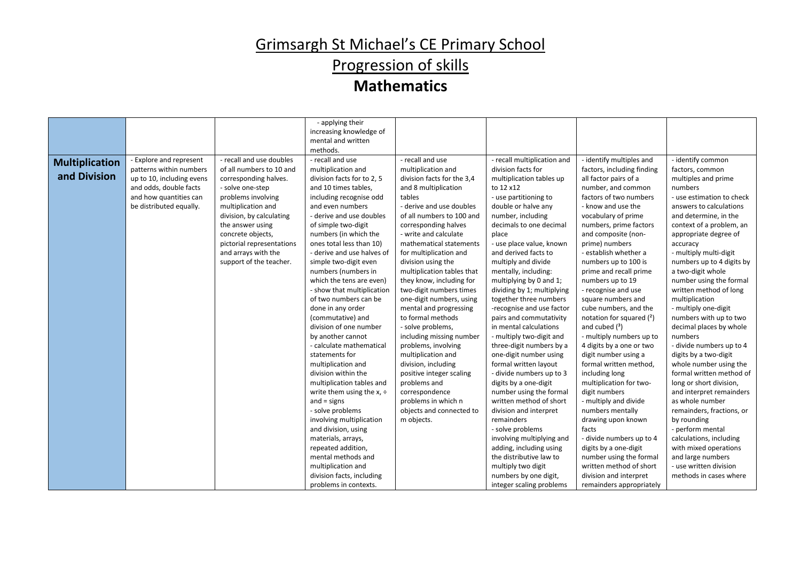# Progression of skills

|                                       |                                                                                                                                                                |                                                                                                                                                                                                                                                                                                   | - applying their<br>increasing knowledge of<br>mental and written<br>methods.                                                                                                                                                                                                                                                                                                                                                                                                                                                                                                                                                                                                                                                                                                            |                                                                                                                                                                                                                                                                                                                                                                                                                                                                                                                                                                                                                                                                                                                 |                                                                                                                                                                                                                                                                                                                                                                                                                                                                                                                                                                                                                                                                                                                                                                                            |                                                                                                                                                                                                                                                                                                                                                                                                                                                                                                                                                                                                                                                                                                                                                        |                                                                                                                                                                                                                                                                                                                                                                                                                                                                                                                                                                                                                                                                                                                                                     |
|---------------------------------------|----------------------------------------------------------------------------------------------------------------------------------------------------------------|---------------------------------------------------------------------------------------------------------------------------------------------------------------------------------------------------------------------------------------------------------------------------------------------------|------------------------------------------------------------------------------------------------------------------------------------------------------------------------------------------------------------------------------------------------------------------------------------------------------------------------------------------------------------------------------------------------------------------------------------------------------------------------------------------------------------------------------------------------------------------------------------------------------------------------------------------------------------------------------------------------------------------------------------------------------------------------------------------|-----------------------------------------------------------------------------------------------------------------------------------------------------------------------------------------------------------------------------------------------------------------------------------------------------------------------------------------------------------------------------------------------------------------------------------------------------------------------------------------------------------------------------------------------------------------------------------------------------------------------------------------------------------------------------------------------------------------|--------------------------------------------------------------------------------------------------------------------------------------------------------------------------------------------------------------------------------------------------------------------------------------------------------------------------------------------------------------------------------------------------------------------------------------------------------------------------------------------------------------------------------------------------------------------------------------------------------------------------------------------------------------------------------------------------------------------------------------------------------------------------------------------|--------------------------------------------------------------------------------------------------------------------------------------------------------------------------------------------------------------------------------------------------------------------------------------------------------------------------------------------------------------------------------------------------------------------------------------------------------------------------------------------------------------------------------------------------------------------------------------------------------------------------------------------------------------------------------------------------------------------------------------------------------|-----------------------------------------------------------------------------------------------------------------------------------------------------------------------------------------------------------------------------------------------------------------------------------------------------------------------------------------------------------------------------------------------------------------------------------------------------------------------------------------------------------------------------------------------------------------------------------------------------------------------------------------------------------------------------------------------------------------------------------------------------|
| <b>Multiplication</b><br>and Division | - Explore and represent<br>patterns within numbers<br>up to 10, including evens<br>and odds, double facts<br>and how quantities can<br>be distributed equally. | - recall and use doubles<br>of all numbers to 10 and<br>corresponding halves.<br>- solve one-step<br>problems involving<br>multiplication and<br>division, by calculating<br>the answer using<br>concrete objects,<br>pictorial representations<br>and arrays with the<br>support of the teacher. | - recall and use<br>multiplication and<br>division facts for to 2, 5<br>and 10 times tables,<br>including recognise odd<br>and even numbers<br>- derive and use doubles<br>of simple two-digit<br>numbers (in which the<br>ones total less than 10)<br>- derive and use halves of<br>simple two-digit even<br>numbers (numbers in<br>which the tens are even)<br>- show that multiplication<br>of two numbers can be<br>done in any order<br>(commutative) and<br>division of one number<br>by another cannot<br>- calculate mathematical<br>statements for<br>multiplication and<br>division within the<br>multiplication tables and<br>write them using the $x$ , $\div$<br>and $=$ signs<br>- solve problems<br>involving multiplication<br>and division, using<br>materials, arrays, | - recall and use<br>multiplication and<br>division facts for the 3,4<br>and 8 multiplication<br>tables<br>- derive and use doubles<br>of all numbers to 100 and<br>corresponding halves<br>- write and calculate<br>mathematical statements<br>for multiplication and<br>division using the<br>multiplication tables that<br>they know, including for<br>two-digit numbers times<br>one-digit numbers, using<br>mental and progressing<br>to formal methods<br>- solve problems,<br>including missing number<br>problems, involving<br>multiplication and<br>division, including<br>positive integer scaling<br>problems and<br>correspondence<br>problems in which n<br>objects and connected to<br>m objects. | - recall multiplication and<br>division facts for<br>multiplication tables up<br>to 12 x12<br>- use partitioning to<br>double or halve any<br>number, including<br>decimals to one decimal<br>place<br>- use place value, known<br>and derived facts to<br>multiply and divide<br>mentally, including:<br>multiplying by 0 and 1;<br>dividing by 1; multiplying<br>together three numbers<br>-recognise and use factor<br>pairs and commutativity<br>in mental calculations<br>- multiply two-digit and<br>three-digit numbers by a<br>one-digit number using<br>formal written layout<br>- divide numbers up to 3<br>digits by a one-digit<br>number using the formal<br>written method of short<br>division and interpret<br>remainders<br>- solve problems<br>involving multiplying and | - identify multiples and<br>factors, including finding<br>all factor pairs of a<br>number, and common<br>factors of two numbers<br>- know and use the<br>vocabulary of prime<br>numbers, prime factors<br>and composite (non-<br>prime) numbers<br>- establish whether a<br>numbers up to 100 is<br>prime and recall prime<br>numbers up to 19<br>- recognise and use<br>square numbers and<br>cube numbers, and the<br>notation for squared $(2)$<br>and cubed $(^3)$<br>- multiply numbers up to<br>4 digits by a one or two<br>digit number using a<br>formal written method,<br>including long<br>multiplication for two-<br>digit numbers<br>- multiply and divide<br>numbers mentally<br>drawing upon known<br>facts<br>- divide numbers up to 4 | - identify common<br>factors, common<br>multiples and prime<br>numbers<br>- use estimation to check<br>answers to calculations<br>and determine, in the<br>context of a problem, an<br>appropriate degree of<br>accuracy<br>- multiply multi-digit<br>numbers up to 4 digits by<br>a two-digit whole<br>number using the formal<br>written method of long<br>multiplication<br>- multiply one-digit<br>numbers with up to two<br>decimal places by whole<br>numbers<br>- divide numbers up to 4<br>digits by a two-digit<br>whole number using the<br>formal written method of<br>long or short division,<br>and interpret remainders<br>as whole number<br>remainders, fractions, or<br>by rounding<br>- perform mental<br>calculations, including |
|                                       |                                                                                                                                                                |                                                                                                                                                                                                                                                                                                   | repeated addition,<br>mental methods and<br>multiplication and                                                                                                                                                                                                                                                                                                                                                                                                                                                                                                                                                                                                                                                                                                                           |                                                                                                                                                                                                                                                                                                                                                                                                                                                                                                                                                                                                                                                                                                                 | adding, including using<br>the distributive law to<br>multiply two digit                                                                                                                                                                                                                                                                                                                                                                                                                                                                                                                                                                                                                                                                                                                   | digits by a one-digit<br>number using the formal<br>written method of short                                                                                                                                                                                                                                                                                                                                                                                                                                                                                                                                                                                                                                                                            | with mixed operations<br>and large numbers<br>- use written division                                                                                                                                                                                                                                                                                                                                                                                                                                                                                                                                                                                                                                                                                |
|                                       |                                                                                                                                                                |                                                                                                                                                                                                                                                                                                   | division facts, including<br>problems in contexts.                                                                                                                                                                                                                                                                                                                                                                                                                                                                                                                                                                                                                                                                                                                                       |                                                                                                                                                                                                                                                                                                                                                                                                                                                                                                                                                                                                                                                                                                                 | numbers by one digit,<br>integer scaling problems                                                                                                                                                                                                                                                                                                                                                                                                                                                                                                                                                                                                                                                                                                                                          | division and interpret<br>remainders appropriately                                                                                                                                                                                                                                                                                                                                                                                                                                                                                                                                                                                                                                                                                                     | methods in cases where                                                                                                                                                                                                                                                                                                                                                                                                                                                                                                                                                                                                                                                                                                                              |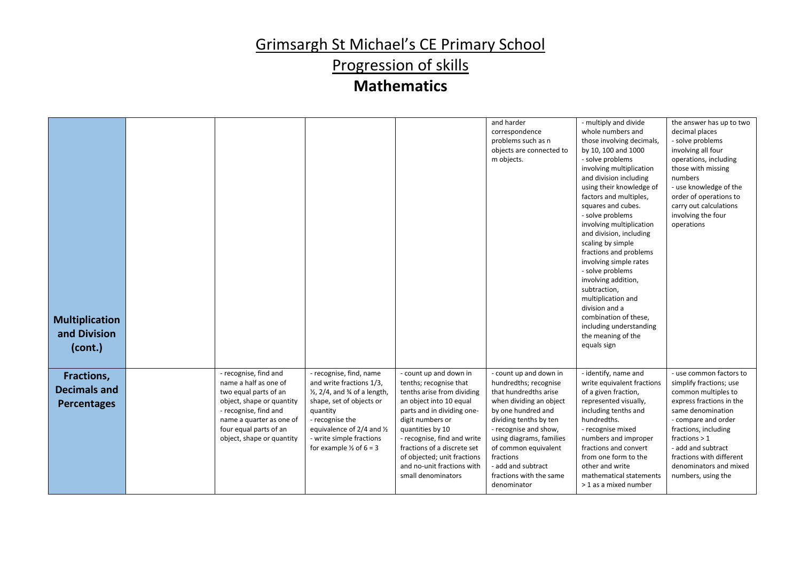Progression of skills

| <b>Multiplication</b><br>and Division<br>(cont.)        |                                                                                                                                                                                                                  |                                                                                                                                                                                                                                                                       |                                                                                                                                                                                                                                                                                                                                  | and harder<br>correspondence<br>problems such as n<br>objects are connected to<br>m objects.                                                                                                                                                                                                                  | - multiply and divide<br>whole numbers and<br>those involving decimals,<br>by 10, 100 and 1000<br>- solve problems<br>involving multiplication<br>and division including<br>using their knowledge of<br>factors and multiples,<br>squares and cubes.<br>- solve problems<br>involving multiplication<br>and division, including<br>scaling by simple<br>fractions and problems<br>involving simple rates<br>- solve problems<br>involving addition,<br>subtraction,<br>multiplication and<br>division and a<br>combination of these,<br>including understanding<br>the meaning of the<br>equals sign | the answer has up to two<br>decimal places<br>- solve problems<br>involving all four<br>operations, including<br>those with missing<br>numbers<br>- use knowledge of the<br>order of operations to<br>carry out calculations<br>involving the four<br>operations                               |
|---------------------------------------------------------|------------------------------------------------------------------------------------------------------------------------------------------------------------------------------------------------------------------|-----------------------------------------------------------------------------------------------------------------------------------------------------------------------------------------------------------------------------------------------------------------------|----------------------------------------------------------------------------------------------------------------------------------------------------------------------------------------------------------------------------------------------------------------------------------------------------------------------------------|---------------------------------------------------------------------------------------------------------------------------------------------------------------------------------------------------------------------------------------------------------------------------------------------------------------|------------------------------------------------------------------------------------------------------------------------------------------------------------------------------------------------------------------------------------------------------------------------------------------------------------------------------------------------------------------------------------------------------------------------------------------------------------------------------------------------------------------------------------------------------------------------------------------------------|------------------------------------------------------------------------------------------------------------------------------------------------------------------------------------------------------------------------------------------------------------------------------------------------|
| Fractions,<br><b>Decimals and</b><br><b>Percentages</b> | - recognise, find and<br>name a half as one of<br>two equal parts of an<br>object, shape or quantity<br>- recognise, find and<br>name a quarter as one of<br>four equal parts of an<br>object, shape or quantity | - recognise, find, name<br>and write fractions 1/3,<br>$\frac{1}{2}$ , 2/4, and $\frac{3}{4}$ of a length,<br>shape, set of objects or<br>quantity<br>- recognise the<br>equivalence of 2/4 and 1/2<br>- write simple fractions<br>for example $\frac{1}{2}$ of 6 = 3 | - count up and down in<br>tenths; recognise that<br>tenths arise from dividing<br>an object into 10 equal<br>parts and in dividing one-<br>digit numbers or<br>quantities by 10<br>- recognise, find and write<br>fractions of a discrete set<br>of objected; unit fractions<br>and no-unit fractions with<br>small denominators | - count up and down in<br>hundredths; recognise<br>that hundredths arise<br>when dividing an object<br>by one hundred and<br>dividing tenths by ten<br>- recognise and show,<br>using diagrams, families<br>of common equivalent<br>fractions<br>- add and subtract<br>fractions with the same<br>denominator | - identify, name and<br>write equivalent fractions<br>of a given fraction,<br>represented visually,<br>including tenths and<br>hundredths.<br>- recognise mixed<br>numbers and improper<br>fractions and convert<br>from one form to the<br>other and write<br>mathematical statements<br>> 1 as a mixed number                                                                                                                                                                                                                                                                                      | - use common factors to<br>simplify fractions; use<br>common multiples to<br>express fractions in the<br>same denomination<br>- compare and order<br>fractions, including<br>fractions $> 1$<br>- add and subtract<br>fractions with different<br>denominators and mixed<br>numbers, using the |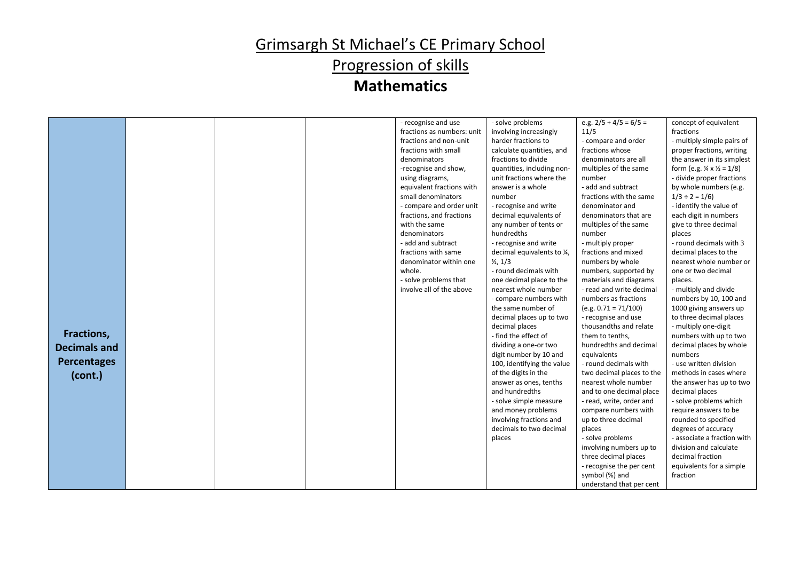# Progression of skills

|                     |  | - recognise and use        | - solve problems            | e.g. $2/5 + 4/5 = 6/5 =$  | concept of equivalent                               |
|---------------------|--|----------------------------|-----------------------------|---------------------------|-----------------------------------------------------|
|                     |  | fractions as numbers: unit | involving increasingly      | 11/5                      | fractions                                           |
|                     |  | fractions and non-unit     | harder fractions to         | - compare and order       | - multiply simple pairs of                          |
|                     |  | fractions with small       | calculate quantities, and   | fractions whose           | proper fractions, writing                           |
|                     |  | denominators               | fractions to divide         | denominators are all      | the answer in its simplest                          |
|                     |  | -recognise and show,       | quantities, including non-  | multiples of the same     | form (e.g. $\frac{1}{4} \times \frac{1}{2} = 1/8$ ) |
|                     |  | using diagrams,            | unit fractions where the    | number                    | - divide proper fractions                           |
|                     |  | equivalent fractions with  | answer is a whole           | - add and subtract        | by whole numbers (e.g.                              |
|                     |  | small denominators         | number                      | fractions with the same   | $1/3 \div 2 = 1/6$                                  |
|                     |  | - compare and order unit   | - recognise and write       | denominator and           | - identify the value of                             |
|                     |  | fractions, and fractions   | decimal equivalents of      | denominators that are     | each digit in numbers                               |
|                     |  | with the same              | any number of tents or      | multiples of the same     | give to three decimal                               |
|                     |  | denominators               | hundredths                  | number                    | places                                              |
|                     |  | - add and subtract         | - recognise and write       | - multiply proper         | - round decimals with 3                             |
|                     |  | fractions with same        | decimal equivalents to 1/4, | fractions and mixed       | decimal places to the                               |
|                     |  | denominator within one     | $\frac{1}{2}$ , 1/3         | numbers by whole          | nearest whole number or                             |
|                     |  | whole.                     | - round decimals with       | numbers, supported by     | one or two decimal                                  |
|                     |  | - solve problems that      | one decimal place to the    | materials and diagrams    | places.                                             |
|                     |  | involve all of the above   | nearest whole number        | - read and write decimal  | - multiply and divide                               |
|                     |  |                            | - compare numbers with      | numbers as fractions      | numbers by 10, 100 and                              |
|                     |  |                            | the same number of          | $(e.g. 0.71 = 71/100)$    | 1000 giving answers up                              |
|                     |  |                            | decimal places up to two    | - recognise and use       | to three decimal places                             |
|                     |  |                            | decimal places              | thousandths and relate    | - multiply one-digit                                |
| Fractions,          |  |                            | - find the effect of        | them to tenths,           | numbers with up to two                              |
| <b>Decimals and</b> |  |                            | dividing a one-or two       | hundredths and decimal    | decimal places by whole                             |
|                     |  |                            | digit number by 10 and      | equivalents               | numbers                                             |
| <b>Percentages</b>  |  |                            | 100, identifying the value  | - round decimals with     | - use written division                              |
| (cont.)             |  |                            | of the digits in the        | two decimal places to the | methods in cases where                              |
|                     |  |                            | answer as ones, tenths      | nearest whole number      | the answer has up to two                            |
|                     |  |                            | and hundredths              | and to one decimal place  | decimal places                                      |
|                     |  |                            | - solve simple measure      | - read, write, order and  | - solve problems which                              |
|                     |  |                            | and money problems          | compare numbers with      | require answers to be                               |
|                     |  |                            | involving fractions and     | up to three decimal       | rounded to specified                                |
|                     |  |                            | decimals to two decimal     | places                    | degrees of accuracy                                 |
|                     |  |                            | places                      | - solve problems          | - associate a fraction with                         |
|                     |  |                            |                             | involving numbers up to   | division and calculate                              |
|                     |  |                            |                             | three decimal places      | decimal fraction                                    |
|                     |  |                            |                             | - recognise the per cent  | equivalents for a simple                            |
|                     |  |                            |                             | symbol (%) and            | fraction                                            |
|                     |  |                            |                             | understand that per cent  |                                                     |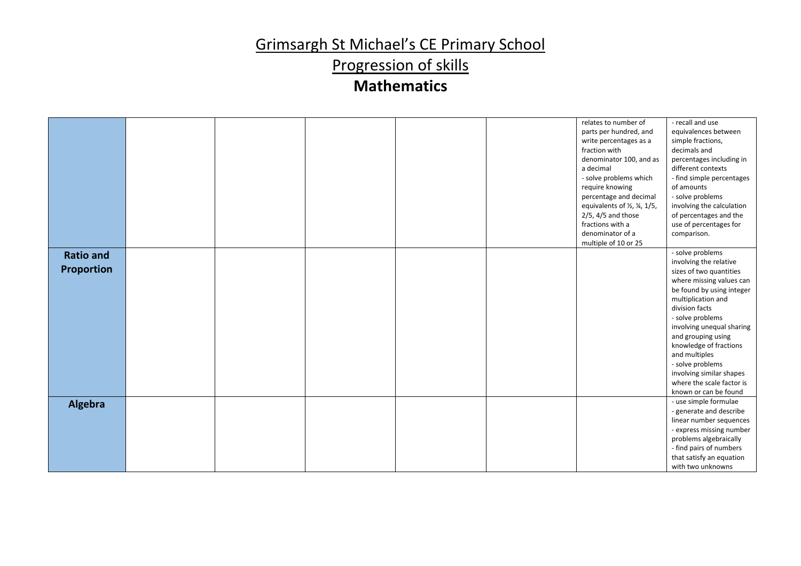Progression of skills

|                                       |  |  | relates to number of<br>parts per hundred, and<br>write percentages as a<br>fraction with<br>denominator 100, and as<br>a decimal<br>- solve problems which<br>require knowing<br>percentage and decimal<br>equivalents of 1/2, 1/4, 1/5,<br>$2/5$ , 4/5 and those<br>fractions with a | - recall and use<br>equivalences between<br>simple fractions,<br>decimals and<br>percentages including in<br>different contexts<br>- find simple percentages<br>of amounts<br>- solve problems<br>involving the calculation<br>of percentages and the<br>use of percentages for                                                                                                                |
|---------------------------------------|--|--|----------------------------------------------------------------------------------------------------------------------------------------------------------------------------------------------------------------------------------------------------------------------------------------|------------------------------------------------------------------------------------------------------------------------------------------------------------------------------------------------------------------------------------------------------------------------------------------------------------------------------------------------------------------------------------------------|
|                                       |  |  | denominator of a                                                                                                                                                                                                                                                                       | comparison.                                                                                                                                                                                                                                                                                                                                                                                    |
|                                       |  |  | multiple of 10 or 25                                                                                                                                                                                                                                                                   |                                                                                                                                                                                                                                                                                                                                                                                                |
| <b>Ratio and</b><br><b>Proportion</b> |  |  |                                                                                                                                                                                                                                                                                        | - solve problems<br>involving the relative<br>sizes of two quantities<br>where missing values can<br>be found by using integer<br>multiplication and<br>division facts<br>- solve problems<br>involving unequal sharing<br>and grouping using<br>knowledge of fractions<br>and multiples<br>- solve problems<br>involving similar shapes<br>where the scale factor is<br>known or can be found |
| Algebra                               |  |  |                                                                                                                                                                                                                                                                                        | - use simple formulae<br>- generate and describe<br>linear number sequences<br>- express missing number<br>problems algebraically<br>- find pairs of numbers<br>that satisfy an equation<br>with two unknowns                                                                                                                                                                                  |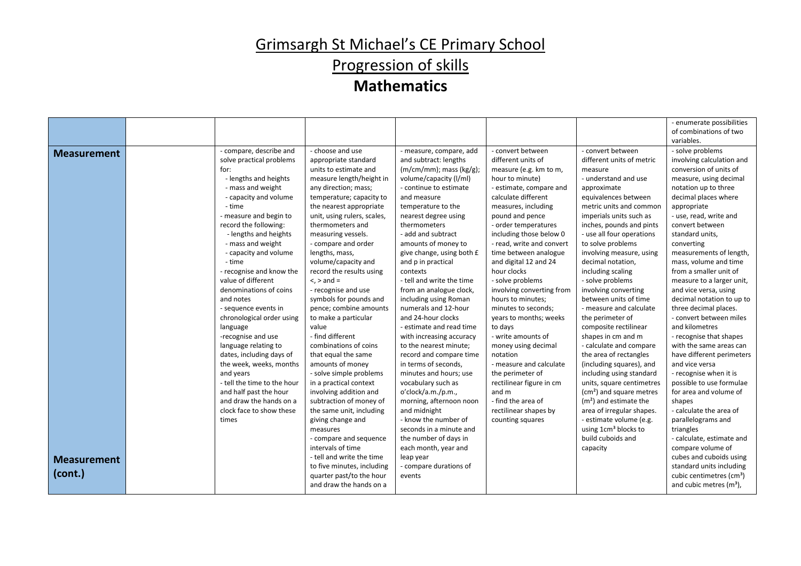Progression of skills

|                                          |                                                                                                                                                                                                                                                                                                                                                                                                                                                                                                                                                                                                                                                                                       |                                                                                                                                                                                                                                                                                                                                                                                                                                                                                                                                                                                                                                                                                                                                                                                                                                     |                                                                                                                                                                                                                                                                                                                                                                                                                                                                                                                                                                                                                                                                                                                                                                                                                                      |                                                                                                                                                                                                                                                                                                                                                                                                                                                                                                                                                                                                                                                                                     |                                                                                                                                                                                                                                                                                                                                                                                                                                                                                                                                                                                                                                                                                                                                                                                                                                                 | - enumerate possibilities<br>of combinations of two                                                                                                                                                                                                                                                                                                                                                                                                                                                                                                                                                                                                                                                                                                                                                                             |
|------------------------------------------|---------------------------------------------------------------------------------------------------------------------------------------------------------------------------------------------------------------------------------------------------------------------------------------------------------------------------------------------------------------------------------------------------------------------------------------------------------------------------------------------------------------------------------------------------------------------------------------------------------------------------------------------------------------------------------------|-------------------------------------------------------------------------------------------------------------------------------------------------------------------------------------------------------------------------------------------------------------------------------------------------------------------------------------------------------------------------------------------------------------------------------------------------------------------------------------------------------------------------------------------------------------------------------------------------------------------------------------------------------------------------------------------------------------------------------------------------------------------------------------------------------------------------------------|--------------------------------------------------------------------------------------------------------------------------------------------------------------------------------------------------------------------------------------------------------------------------------------------------------------------------------------------------------------------------------------------------------------------------------------------------------------------------------------------------------------------------------------------------------------------------------------------------------------------------------------------------------------------------------------------------------------------------------------------------------------------------------------------------------------------------------------|-------------------------------------------------------------------------------------------------------------------------------------------------------------------------------------------------------------------------------------------------------------------------------------------------------------------------------------------------------------------------------------------------------------------------------------------------------------------------------------------------------------------------------------------------------------------------------------------------------------------------------------------------------------------------------------|-------------------------------------------------------------------------------------------------------------------------------------------------------------------------------------------------------------------------------------------------------------------------------------------------------------------------------------------------------------------------------------------------------------------------------------------------------------------------------------------------------------------------------------------------------------------------------------------------------------------------------------------------------------------------------------------------------------------------------------------------------------------------------------------------------------------------------------------------|---------------------------------------------------------------------------------------------------------------------------------------------------------------------------------------------------------------------------------------------------------------------------------------------------------------------------------------------------------------------------------------------------------------------------------------------------------------------------------------------------------------------------------------------------------------------------------------------------------------------------------------------------------------------------------------------------------------------------------------------------------------------------------------------------------------------------------|
|                                          |                                                                                                                                                                                                                                                                                                                                                                                                                                                                                                                                                                                                                                                                                       |                                                                                                                                                                                                                                                                                                                                                                                                                                                                                                                                                                                                                                                                                                                                                                                                                                     |                                                                                                                                                                                                                                                                                                                                                                                                                                                                                                                                                                                                                                                                                                                                                                                                                                      |                                                                                                                                                                                                                                                                                                                                                                                                                                                                                                                                                                                                                                                                                     |                                                                                                                                                                                                                                                                                                                                                                                                                                                                                                                                                                                                                                                                                                                                                                                                                                                 | variables.                                                                                                                                                                                                                                                                                                                                                                                                                                                                                                                                                                                                                                                                                                                                                                                                                      |
| <b>Measurement</b><br><b>Measurement</b> | - compare, describe and<br>solve practical problems<br>for:<br>- lengths and heights<br>- mass and weight<br>- capacity and volume<br>- time<br>- measure and begin to<br>record the following:<br>- lengths and heights<br>- mass and weight<br>- capacity and volume<br>- time<br>- recognise and know the<br>value of different<br>denominations of coins<br>and notes<br>- sequence events in<br>chronological order using<br>language<br>-recognise and use<br>language relating to<br>dates, including days of<br>the week, weeks, months<br>and years<br>- tell the time to the hour<br>and half past the hour<br>and draw the hands on a<br>clock face to show these<br>times | - choose and use<br>appropriate standard<br>units to estimate and<br>measure length/height in<br>any direction; mass;<br>temperature; capacity to<br>the nearest appropriate<br>unit, using rulers, scales,<br>thermometers and<br>measuring vessels.<br>- compare and order<br>lengths, mass,<br>volume/capacity and<br>record the results using<br>$\langle$ , $>$ and $=$<br>- recognise and use<br>symbols for pounds and<br>pence; combine amounts<br>to make a particular<br>value<br>- find different<br>combinations of coins<br>that equal the same<br>amounts of money<br>- solve simple problems<br>in a practical context<br>involving addition and<br>subtraction of money of<br>the same unit, including<br>giving change and<br>measures<br>- compare and sequence<br>intervals of time<br>- tell and write the time | - measure, compare, add<br>and subtract: lengths<br>$(m/cm/mm)$ ; mass $(kg/g)$ ;<br>volume/capacity (I/ml)<br>- continue to estimate<br>and measure<br>temperature to the<br>nearest degree using<br>thermometers<br>- add and subtract<br>amounts of money to<br>give change, using both £<br>and p in practical<br>contexts<br>- tell and write the time<br>from an analogue clock,<br>including using Roman<br>numerals and 12-hour<br>and 24-hour clocks<br>- estimate and read time<br>with increasing accuracy<br>to the nearest minute;<br>record and compare time<br>in terms of seconds,<br>minutes and hours; use<br>vocabulary such as<br>o'clock/a.m./p.m.,<br>morning, afternoon noon<br>and midnight<br>- know the number of<br>seconds in a minute and<br>the number of days in<br>each month, year and<br>leap year | - convert between<br>different units of<br>measure (e.g. km to m,<br>hour to minute)<br>- estimate, compare and<br>calculate different<br>measures, including<br>pound and pence<br>- order temperatures<br>including those below 0<br>- read, write and convert<br>time between analogue<br>and digital 12 and 24<br>hour clocks<br>- solve problems<br>involving converting from<br>hours to minutes;<br>minutes to seconds;<br>years to months; weeks<br>to days<br>- write amounts of<br>money using decimal<br>notation<br>- measure and calculate<br>the perimeter of<br>rectilinear figure in cm<br>and m<br>- find the area of<br>rectilinear shapes by<br>counting squares | - convert between<br>different units of metric<br>measure<br>- understand and use<br>approximate<br>equivalences between<br>metric units and common<br>imperials units such as<br>inches, pounds and pints<br>- use all four operations<br>to solve problems<br>involving measure, using<br>decimal notation,<br>including scaling<br>- solve problems<br>involving converting<br>between units of time<br>- measure and calculate<br>the perimeter of<br>composite rectilinear<br>shapes in cm and m<br>- calculate and compare<br>the area of rectangles<br>(including squares), and<br>including using standard<br>units, square centimetres<br>(cm <sup>2</sup> ) and square metres<br>$(m2)$ and estimate the<br>area of irregular shapes.<br>- estimate volume (e.g.<br>using 1cm <sup>3</sup> blocks to<br>build cuboids and<br>capacity | - solve problems<br>involving calculation and<br>conversion of units of<br>measure, using decimal<br>notation up to three<br>decimal places where<br>appropriate<br>- use, read, write and<br>convert between<br>standard units,<br>converting<br>measurements of length,<br>mass, volume and time<br>from a smaller unit of<br>measure to a larger unit,<br>and vice versa, using<br>decimal notation to up to<br>three decimal places.<br>- convert between miles<br>and kilometres<br>- recognise that shapes<br>with the same areas can<br>have different perimeters<br>and vice versa<br>- recognise when it is<br>possible to use formulae<br>for area and volume of<br>shapes<br>- calculate the area of<br>parallelograms and<br>triangles<br>- calculate, estimate and<br>compare volume of<br>cubes and cuboids using |
| (cont.)                                  |                                                                                                                                                                                                                                                                                                                                                                                                                                                                                                                                                                                                                                                                                       | to five minutes, including<br>quarter past/to the hour<br>and draw the hands on a                                                                                                                                                                                                                                                                                                                                                                                                                                                                                                                                                                                                                                                                                                                                                   | - compare durations of<br>events                                                                                                                                                                                                                                                                                                                                                                                                                                                                                                                                                                                                                                                                                                                                                                                                     |                                                                                                                                                                                                                                                                                                                                                                                                                                                                                                                                                                                                                                                                                     |                                                                                                                                                                                                                                                                                                                                                                                                                                                                                                                                                                                                                                                                                                                                                                                                                                                 | standard units including<br>cubic centimetres (cm <sup>3</sup> )<br>and cubic metres (m <sup>3</sup> ),                                                                                                                                                                                                                                                                                                                                                                                                                                                                                                                                                                                                                                                                                                                         |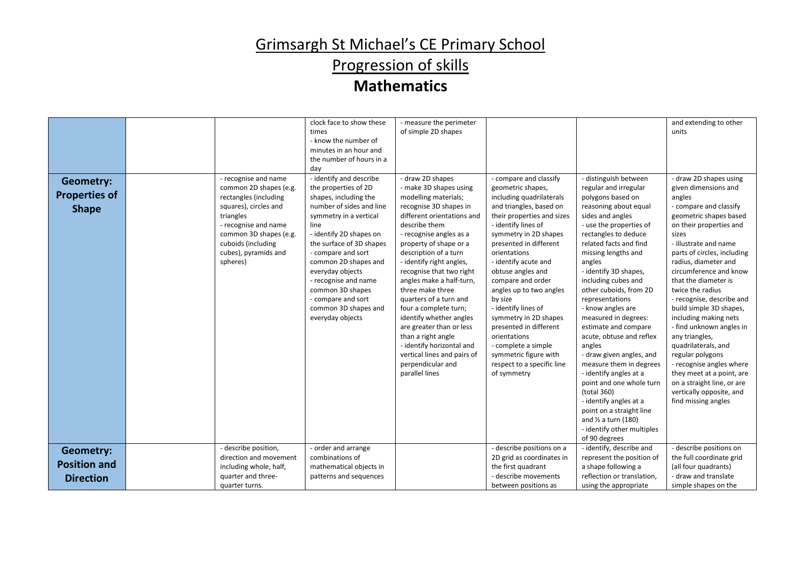# Progression of skills

|                                                             |                                                                                                                                                                                                                           | clock face to show these<br>times<br>- know the number of<br>minutes in an hour and<br>the number of hours in a<br>day                                                                                                                                                                                                                                                        | - measure the perimeter<br>of simple 2D shapes                                                                                                                                                                                                                                                                                                                                                                                                                                                                                                                       |                                                                                                                                                                                                                                                                                                                                                                                                                                                                                                                           |                                                                                                                                                                                                                                                                                                                                                                                                                                                                                                                                                                                                                                                                                                           | and extending to other<br>units                                                                                                                                                                                                                                                                                                                                                                                                                                                                                                                                                                                            |
|-------------------------------------------------------------|---------------------------------------------------------------------------------------------------------------------------------------------------------------------------------------------------------------------------|-------------------------------------------------------------------------------------------------------------------------------------------------------------------------------------------------------------------------------------------------------------------------------------------------------------------------------------------------------------------------------|----------------------------------------------------------------------------------------------------------------------------------------------------------------------------------------------------------------------------------------------------------------------------------------------------------------------------------------------------------------------------------------------------------------------------------------------------------------------------------------------------------------------------------------------------------------------|---------------------------------------------------------------------------------------------------------------------------------------------------------------------------------------------------------------------------------------------------------------------------------------------------------------------------------------------------------------------------------------------------------------------------------------------------------------------------------------------------------------------------|-----------------------------------------------------------------------------------------------------------------------------------------------------------------------------------------------------------------------------------------------------------------------------------------------------------------------------------------------------------------------------------------------------------------------------------------------------------------------------------------------------------------------------------------------------------------------------------------------------------------------------------------------------------------------------------------------------------|----------------------------------------------------------------------------------------------------------------------------------------------------------------------------------------------------------------------------------------------------------------------------------------------------------------------------------------------------------------------------------------------------------------------------------------------------------------------------------------------------------------------------------------------------------------------------------------------------------------------------|
| <b>Geometry:</b><br><b>Properties of</b><br><b>Shape</b>    | - recognise and name<br>common 2D shapes (e.g.<br>rectangles (including<br>squares), circles and<br>triangles<br>- recognise and name<br>common 3D shapes (e.g.<br>cuboids (including<br>cubes), pyramids and<br>spheres) | - identify and describe<br>the properties of 2D<br>shapes, including the<br>number of sides and line<br>symmetry in a vertical<br>line<br>- identify 2D shapes on<br>the surface of 3D shapes<br>- compare and sort<br>common 2D shapes and<br>everyday objects<br>- recognise and name<br>common 3D shapes<br>- compare and sort<br>common 3D shapes and<br>everyday objects | - draw 2D shapes<br>- make 3D shapes using<br>modelling materials;<br>recognise 3D shapes in<br>different orientations and<br>describe them<br>- recognise angles as a<br>property of shape or a<br>description of a turn<br>- identify right angles,<br>recognise that two right<br>angles make a half-turn,<br>three make three<br>quarters of a turn and<br>four a complete turn;<br>identify whether angles<br>are greater than or less<br>than a right angle<br>- identify horizontal and<br>vertical lines and pairs of<br>perpendicular and<br>parallel lines | - compare and classify<br>geometric shapes,<br>including quadrilaterals<br>and triangles, based on<br>their properties and sizes<br>- identify lines of<br>symmetry in 2D shapes<br>presented in different<br>orientations<br>- identify acute and<br>obtuse angles and<br>compare and order<br>angles up to two angles<br>by size<br>- identify lines of<br>symmetry in 2D shapes<br>presented in different<br>orientations<br>- complete a simple<br>symmetric figure with<br>respect to a specific line<br>of symmetry | - distinguish between<br>regular and irregular<br>polygons based on<br>reasoning about equal<br>sides and angles<br>- use the properties of<br>rectangles to deduce<br>related facts and find<br>missing lengths and<br>angles<br>- identify 3D shapes,<br>including cubes and<br>other cuboids, from 2D<br>representations<br>- know angles are<br>measured in degrees:<br>estimate and compare<br>acute, obtuse and reflex<br>angles<br>- draw given angles, and<br>measure them in degrees<br>- identify angles at a<br>point and one whole turn<br>(total 360)<br>- identify angles at a<br>point on a straight line<br>and $\frac{1}{2}$ a turn (180)<br>- identify other multiples<br>of 90 degrees | - draw 2D shapes using<br>given dimensions and<br>angles<br>- compare and classify<br>geometric shapes based<br>on their properties and<br>sizes<br>- illustrate and name<br>parts of circles, including<br>radius, diameter and<br>circumference and know<br>that the diameter is<br>twice the radius<br>- recognise, describe and<br>build simple 3D shapes,<br>including making nets<br>- find unknown angles in<br>any triangles,<br>quadrilaterals, and<br>regular polygons<br>- recognise angles where<br>they meet at a point, are<br>on a straight line, or are<br>vertically opposite, and<br>find missing angles |
| <b>Geometry:</b><br><b>Position and</b><br><b>Direction</b> | - describe position,<br>direction and movement<br>including whole, half,<br>quarter and three-<br>quarter turns.                                                                                                          | - order and arrange<br>combinations of<br>mathematical objects in<br>patterns and sequences                                                                                                                                                                                                                                                                                   |                                                                                                                                                                                                                                                                                                                                                                                                                                                                                                                                                                      | - describe positions on a<br>2D grid as coordinates in<br>the first quadrant<br>- describe movements<br>between positions as                                                                                                                                                                                                                                                                                                                                                                                              | - identify, describe and<br>represent the position of<br>a shape following a<br>reflection or translation,<br>using the appropriate                                                                                                                                                                                                                                                                                                                                                                                                                                                                                                                                                                       | describe positions on<br>the full coordinate grid<br>(all four quadrants)<br>- draw and translate<br>simple shapes on the                                                                                                                                                                                                                                                                                                                                                                                                                                                                                                  |